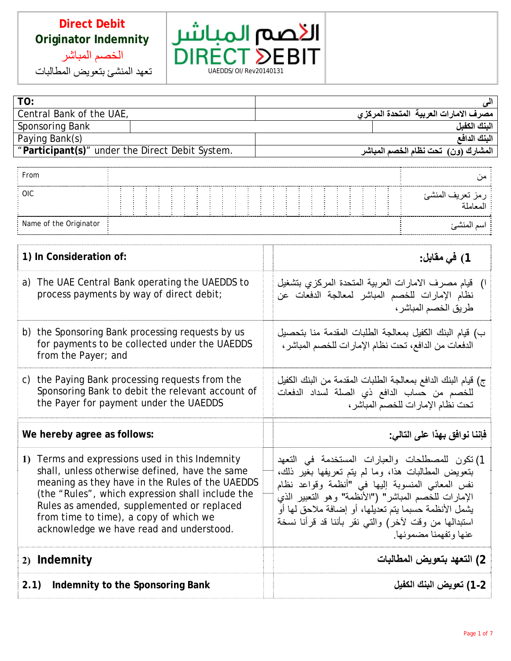



| TO:                                             |                                       |
|-------------------------------------------------|---------------------------------------|
| Central Bank of the UAE,                        | مصرف الامارات العربية المتحدة المركزى |
| Sponsoring Bank                                 | البنك الكفبل                          |
| Paying Bank(s)                                  | الننك الدافع                          |
| "Participant(s)" under the Direct Debit System. | المشارك (ون)  تحت نظام الخصم المباشر  |
|                                                 |                                       |

| From                   |  |  |  |  |  |  |  |  |  |  |  |  |  |
|------------------------|--|--|--|--|--|--|--|--|--|--|--|--|--|
| OIC.                   |  |  |  |  |  |  |  |  |  |  |  |  |  |
| Name of the Originator |  |  |  |  |  |  |  |  |  |  |  |  |  |

| 1) In Consideration of:                                                                                                                                                                                                                                                                                                                      | 1) في مقابل:                                                                                                                                                                                                                                                                                                                                                   |
|----------------------------------------------------------------------------------------------------------------------------------------------------------------------------------------------------------------------------------------------------------------------------------------------------------------------------------------------|----------------------------------------------------------------------------------------------------------------------------------------------------------------------------------------------------------------------------------------------------------------------------------------------------------------------------------------------------------------|
| a) The UAE Central Bank operating the UAEDDS to<br>process payments by way of direct debit;                                                                                                                                                                                                                                                  | ا) قيام مصرف الامارات العربية المتحدة المركزي بتشغيل<br>نظام الإمارات للخصم المباشر لمعالجة الدفعات عن<br>طريق الخصم المباشر ،                                                                                                                                                                                                                                 |
| b) the Sponsoring Bank processing requests by us<br>for payments to be collected under the UAEDDS<br>from the Payer; and                                                                                                                                                                                                                     | ب) قيام البنك الكفيل بمعالجة الطلبات المقدمة منا بتحصيل<br>الدفعات من الدافع، تحت نظام الإمارات للخصم المباشر،                                                                                                                                                                                                                                                 |
| c) the Paying Bank processing requests from the<br>Sponsoring Bank to debit the relevant account of<br>the Payer for payment under the UAEDDS                                                                                                                                                                                                | ج) قيام البنك الدافع بمعالجة الطلبات المقدمة من البنك الكفيل<br>للخصم من حساب الدافع ذي الصلة لسداد الدفعات<br>تحت نظام الإمارات للخصم المباشر،                                                                                                                                                                                                                |
|                                                                                                                                                                                                                                                                                                                                              |                                                                                                                                                                                                                                                                                                                                                                |
| We hereby agree as follows:                                                                                                                                                                                                                                                                                                                  | فإننا نوافق بهذا على التالي:                                                                                                                                                                                                                                                                                                                                   |
| 1) Terms and expressions used in this Indemnity<br>shall, unless otherwise defined, have the same<br>meaning as they have in the Rules of the UAEDDS<br>(the "Rules", which expression shall include the<br>Rules as amended, supplemented or replaced<br>from time to time), a copy of which we<br>acknowledge we have read and understood. | 1) تكون للمصطلحات والعبارات المستخدمة في التعهد<br>بنعويض المطالبات هذا، وما لم يتم تعريفها بغير ذلك،<br>نفس المعاني المنسوبة إليها في "أنظمة وقواعد نظام<br>الإمارات للخصم المباشر" ("الأنظمة" وهو التعبير الذي<br>يشمل الأنظمة حسبما يتم تعديلها، أو إضافة ملاحق لها أو<br>استبدالـها من وقت لأخر) والتـى نقر بـأننـا قد قرأنـا نسخة<br>عنها وتفهمنا مضمونها |
| 2) Indemnity                                                                                                                                                                                                                                                                                                                                 | 2) التعهد بتعويض المطالبات                                                                                                                                                                                                                                                                                                                                     |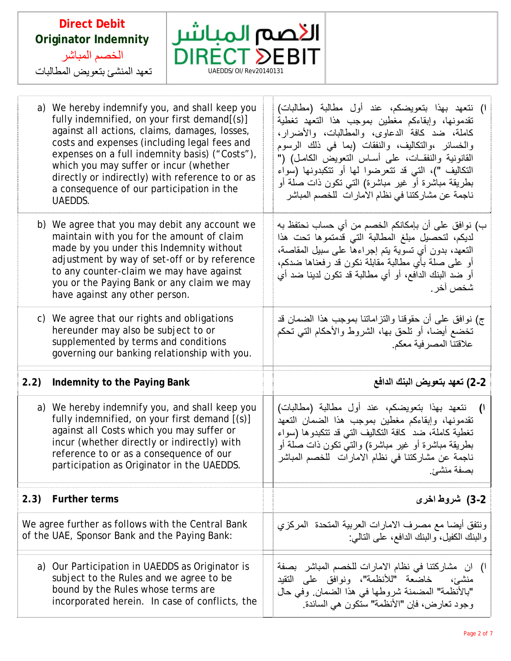



F T

|      | a) We hereby indemnify you, and shall keep you<br>fully indemnified, on your first demand[(s)]<br>against all actions, claims, damages, losses,<br>costs and expenses (including legal fees and<br>expenses on a full indemnity basis) ("Costs"),<br>which you may suffer or incur (whether<br>directly or indirectly) with reference to or as<br>a consequence of our participation in the<br>UAEDDS. | ١) نتعهد بهذا بتعويضكم، عند أول مطالبة (مطالبات)<br>تقدمونها، وإبقاءكم مغطين بموجب هذا التعهد تغطية<br>كاملة، ضد كافة الدعاوى، والمطالبات، والأضرار،<br>والخسائر ،والتكاليف، والنفقات (بما في ذلك الرسوم<br>القانونية والنفقــات، على أســاس النـعويض الكامـل) ("<br>التكاليف ")، التي قد تتعرضوا لها أو تتكبدونها (سواء<br>بطريقة مباشرة أو غير مباشرة) التـي تكون ذات صلة أو<br>ناجمة عن مشاركتنا في نظام الامارات للخصم المباشر |
|------|--------------------------------------------------------------------------------------------------------------------------------------------------------------------------------------------------------------------------------------------------------------------------------------------------------------------------------------------------------------------------------------------------------|------------------------------------------------------------------------------------------------------------------------------------------------------------------------------------------------------------------------------------------------------------------------------------------------------------------------------------------------------------------------------------------------------------------------------------|
|      | b) We agree that you may debit any account we<br>maintain with you for the amount of claim<br>made by you under this Indemnity without<br>adjustment by way of set-off or by reference<br>to any counter-claim we may have against<br>you or the Paying Bank or any claim we may<br>have against any other person.                                                                                     | ب) نوافق على أن بإمكانكم الخصم من أي حساب نحتفظ به<br>لديكم، لتحصيل مبلغ المطالبة التي قدمتموها تحت هذا<br>النعهد، بدون أي تسوية يتم إجراءها على سبيل المقاصة،<br>أو على صلَّة بأي مطالبة مقابلة نكون قد رفعناها ضدكم،<br>أو ضد البنك الدافع، أو أي مطالبة قد تكون لدينا ضد أي<br>شخص أخر                                                                                                                                          |
|      | c) We agree that our rights and obligations<br>hereunder may also be subject to or<br>supplemented by terms and conditions<br>governing our banking relationship with you.                                                                                                                                                                                                                             | ج) نوافق على أن حقوقنا والنزاماتنا بموجب هذا الضمان قد<br>تخضع أيضا، أو تلحق بها، الشروط والأحكام التي تحكم<br>علاقتنا المصرفية معكم                                                                                                                                                                                                                                                                                               |
| 2.2) |                                                                                                                                                                                                                                                                                                                                                                                                        |                                                                                                                                                                                                                                                                                                                                                                                                                                    |
|      | Indemnity to the Paying Bank                                                                                                                                                                                                                                                                                                                                                                           | 2-2) تعهد بتعويض البنك الدافع                                                                                                                                                                                                                                                                                                                                                                                                      |
|      | a) We hereby indemnify you, and shall keep you<br>fully indemnified, on your first demand [(s)]<br>against all Costs which you may suffer or<br>incur (whether directly or indirectly) with<br>reference to or as a consequence of our<br>participation as Originator in the UAEDDS.                                                                                                                   | نتعهد بهذا بتعويضكم، عند أول مطالبة (مطالبات)<br>$\mathcal{O}$<br>تقدمونها، وإبقاءكم مغطين بموجب هذا الضمان التعهد<br>تغطية كاملة، ضد كافة التكاليف التبي قد تتكبدوها (سواء<br>بطريقة مباشرة أو غير مباشرة) والتـي نكون ذات صلة أو<br>ناجمة عن مشاركتنا في نظام الامارات  للخصم المباشر<br>بصفة منشئ.                                                                                                                              |
| 2.3) | <b>Further terms</b>                                                                                                                                                                                                                                                                                                                                                                                   | 2-3) شروط ا <b>خ</b> رى                                                                                                                                                                                                                                                                                                                                                                                                            |
|      | We agree further as follows with the Central Bank<br>of the UAE, Sponsor Bank and the Paying Bank:                                                                                                                                                                                                                                                                                                     | ونتفق أيضا مع مصرف الامارات العربية المتحدة  المركزي<br>والبنك الكفيل، والبنك الدافع، على التالمي:                                                                                                                                                                                                                                                                                                                                 |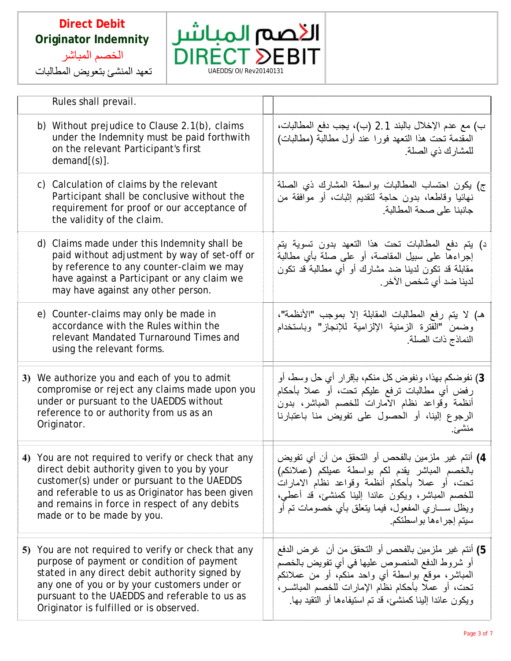



|  | Rules shall prevail.                                                                                                                                                                                                                                                                            |                                                                                                                                                                                                                                                                                                  |
|--|-------------------------------------------------------------------------------------------------------------------------------------------------------------------------------------------------------------------------------------------------------------------------------------------------|--------------------------------------------------------------------------------------------------------------------------------------------------------------------------------------------------------------------------------------------------------------------------------------------------|
|  | b) Without prejudice to Clause $2.1(b)$ , claims<br>under the Indemnity must be paid forthwith<br>on the relevant Participant's first<br>demand[(s)].                                                                                                                                           | ب) مع عدم الإخلال بالبند 2.1 (ب)، يجب دفع المطالبات،<br>المقدمة نحت هذا النعهد فورا عند أول مطالبة (مطالبات)<br>للمشارك ذي الصلة.                                                                                                                                                                |
|  | c) Calculation of claims by the relevant<br>Participant shall be conclusive without the<br>requirement for proof or our acceptance of<br>the validity of the claim.                                                                                                                             | ج) يكون احتساب المطالبات بواسطة المشارك ذي الصلة<br>نـهائيا وقاطـعا، بدون حاجة لتقديم إثبات، أو موافقة من<br>جانبنا على صحة المطالبة.                                                                                                                                                            |
|  | d) Claims made under this Indemnity shall be<br>paid without adjustment by way of set-off or<br>by reference to any counter-claim we may<br>have against a Participant or any claim we<br>may have against any other person.                                                                    | د) يتم دفع المطالبات تحت هذا التعهد بدون تسوية يتم<br>إجراءها على سبيل المقاصة، أو على صلة بأي مطالبة<br>مقابلة قد نكون لدينا ضد مشارك أو أي مطالبة قد نكون<br>لدينا ضد أي شخص الآخر .                                                                                                           |
|  | e) Counter-claims may only be made in<br>accordance with the Rules within the<br>relevant Mandated Turnaround Times and<br>using the relevant forms.                                                                                                                                            | هـ) لا يتم رفع المطالبات المقابلة إلا بموجب "الأنظمة"،<br>وضمن "الفترة الزمنية الإلزامية للإنجاز" وباستخدام<br>النماذج ذات الصلة                                                                                                                                                                 |
|  | 3) We authorize you and each of you to admit<br>compromise or reject any claims made upon you<br>under or pursuant to the UAEDDS without<br>reference to or authority from us as an<br>Originator.                                                                                              | 3) نفوضكم بهذا، ونفوض كل منكم، بإقرار أي حل وسط، أو<br>رفض أي مطالبات ترفع عليكم تحت، أو عملا بأحكام<br>أنظمة وقواعد نظام الامارات للخصم المباشر، بدون<br>الرجوع إلينا، أو الحصول على تفويض منا باعتبارنا<br>منشئ.                                                                               |
|  | 4) You are not required to verify or check that any<br>direct debit authority given to you by your<br>customer(s) under or pursuant to the UAEDDS<br>and referable to us as Originator has been given<br>and remains in force in respect of any debits<br>made or to be made by you.            | 4) أنتم غير ملزمين بالفحص أو التحقق من أن أي تفويض<br>بالخصم المباشر يقدم لكم بواسطة عميلكم (عملائكم)<br>تحت، أو عملا بأحكام أنظمة وقواعد نظام الامارات<br>للخصم المباشر، ويكون عائدا إلينا كمنشئ، قد أعطى،<br>ويظل ســـــاري المفعول، فيمـا يتعلَّق بـأي خصومات تم أو<br>سيتم إجراءها بواسطتكم. |
|  | 5) You are not required to verify or check that any<br>purpose of payment or condition of payment<br>stated in any direct debit authority signed by<br>any one of you or by your customers under or<br>pursuant to the UAEDDS and referable to us as<br>Originator is fulfilled or is observed. | 5) أنتم غير ملزمين بالفحص أو التحقق من أن  غرض الدفع<br>أو شروط الدفع المنصوص عليها في أي تفويض بالخصم<br>المباشر، موقع بواسطة أي واحد منكم، أو من عملائكم<br>تحت، أو عملاً بأحكام نظام الإمارات للخصم المباشــر،<br>ويكون عائدًا إلينا كمنشئ، قد تم استيفاءها أو التقيد بـها.                   |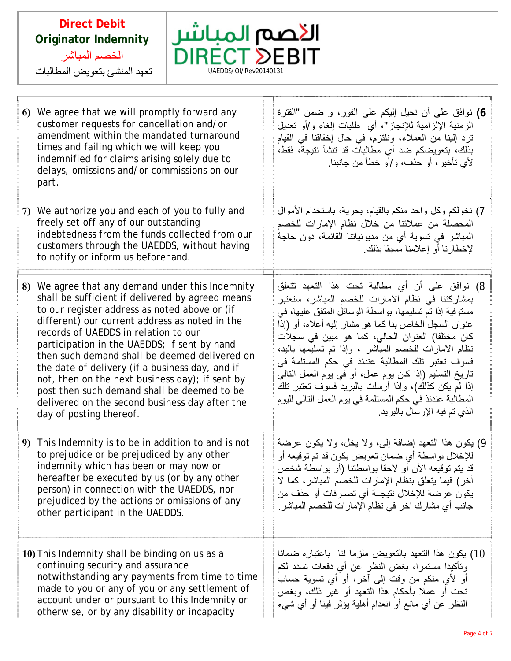

| 6) We agree that we will promptly forward any<br>customer requests for cancellation and/or<br>amendment within the mandated turnaround<br>times and failing which we will keep you<br>indemnified for claims arising solely due to<br>delays, omissions and/or commissions on our<br>part.                                                                                                                                                                                                                                                                                            | 6) نوافق على أن نحيل إليكم على الفور، و ضمن "الفترة<br>الزمنية الإلزامية للإنجاز"، أي طلبات إلغاء و/أو تعديل<br>ترد إلينا من العملاء، ونلتزم، في حال إخفاقنا في القيام<br>بذلك، بنعويضكم ضد أي مطالبات قد نتشأ نتيجة، فقط،<br>لأي تأخير، أو حذف، و/أو خطأ من جانبنا.                                                                                                                                                                                                                                                                                                                                |
|---------------------------------------------------------------------------------------------------------------------------------------------------------------------------------------------------------------------------------------------------------------------------------------------------------------------------------------------------------------------------------------------------------------------------------------------------------------------------------------------------------------------------------------------------------------------------------------|-----------------------------------------------------------------------------------------------------------------------------------------------------------------------------------------------------------------------------------------------------------------------------------------------------------------------------------------------------------------------------------------------------------------------------------------------------------------------------------------------------------------------------------------------------------------------------------------------------|
| 7) We authorize you and each of you to fully and<br>freely set off any of our outstanding<br>indebtedness from the funds collected from our<br>customers through the UAEDDS, without having<br>to notify or inform us beforehand.                                                                                                                                                                                                                                                                                                                                                     | 7) نخولكم وكل واحد منكم بالقيام، بحرية، باستخدام الأموال<br>المحصلة من عملائنا من خلال نظام الإمارات للخصم<br>المباشر في تسوية أي من مديونياتنا القائمة، دون حاجة<br>لإخطارنا أو إعلامنا مسبقا بذلك.                                                                                                                                                                                                                                                                                                                                                                                                |
| We agree that any demand under this Indemnity<br>8)<br>shall be sufficient if delivered by agreed means<br>to our register address as noted above or (if<br>different) our current address as noted in the<br>records of UAEDDS in relation to our<br>participation in the UAEDDS; if sent by hand<br>then such demand shall be deemed delivered on<br>the date of delivery (if a business day, and if<br>not, then on the next business day); if sent by<br>post then such demand shall be deemed to be<br>delivered on the second business day after the<br>day of posting thereof. | 8) نوافق على أن أي مطالبة تحت هذا التعهد تتعلق<br>بمشاركتنا في نظام الامارات للخصم المباشر، ستعتبر<br>مستوفية إذا تم تسليمها، بواسطة الوسائل المتفق عليها، في<br>عنوان السجل الخاص بنا كما هو مشار إليه أعلاه، أو (إذا<br>كان مختلفا) العنوان الحالي، كما هو مبين في سجلات<br>نظام الامارات للخصم المباشر ، وإذا تم تسليمها باليد،<br>فسوف تعتبر تلك المطالبة عندئذ في حكم المستلمة في<br>تاريخ التسليم (إذا كان يوم عمل، أو في يوم العمل التالي<br>إذا لم يكن كذلك)، وإذا أرسلت بالبريد فسوف تعتبر تلك<br>المطالبة عندئذ في حكم المستلمة في يوم العمل التالي لليوم<br>الذي تم فيه الإرسال بالبريد. |
| 9) This Indemnity is to be in addition to and is not<br>to prejudice or be prejudiced by any other<br>indemnity which has been or may now or<br>hereafter be executed by us (or by any other<br>person) in connection with the UAEDDS, nor<br>prejudiced by the actions or omissions of any<br>other participant in the UAEDDS.                                                                                                                                                                                                                                                       | 9) يكون هذا النعهد إضافة إلى، ولا يخل، ولا يكون عرضة<br>للإخلال بواسطة أي ضمان تعويض يكون قد تم توقيعه أو<br>قد يتم توقيعه الأن أو لاحقا بواسطتنا (أو بواسطة شخص<br>آخر) فيما يتعلَّق بنظام الإمارات للخصم المباشر، كما لا<br>يكون عرضة للإخلال نتيجــة أي تصـرفات أو حذف من<br>جانب أي مشارك آخر في نظام الإمارات للخصم المباشر .                                                                                                                                                                                                                                                                  |
| 10) This Indemnity shall be binding on us as a<br>continuing security and assurance<br>notwithstanding any payments from time to time<br>made to you or any of you or any settlement of<br>account under or pursuant to this Indemnity or<br>otherwise, or by any disability or incapacity                                                                                                                                                                                                                                                                                            | 10) يكون هذا النعهد بالنعويض ملزما لنا باعتباره ضمانا<br>وتأكيدا مستمرا، بغض النظر عن أي دفعات تسدد لكم<br>أو لأي منكم من وقت إلى أخر، أو أي تسوية حساب<br>نَحت أو عملاً بأحكام هذا النّعهد أو غير ذلك، وبغض<br>النظر عن أي مانع أو انعدام أهلية يؤثر فينا أو أي شيء                                                                                                                                                                                                                                                                                                                                |

 $\Box$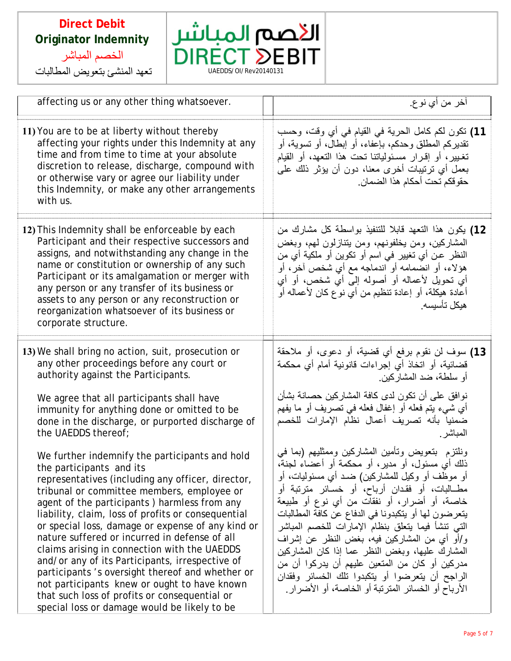



| affecting us or any other thing whatsoever.                                                                                                                                                                                                                                                                                                                                                                                                                                                                                                                    | آخر من أي نوع.                                                                                                                                                                                                                                                                                                                                                                                                                                                         |
|----------------------------------------------------------------------------------------------------------------------------------------------------------------------------------------------------------------------------------------------------------------------------------------------------------------------------------------------------------------------------------------------------------------------------------------------------------------------------------------------------------------------------------------------------------------|------------------------------------------------------------------------------------------------------------------------------------------------------------------------------------------------------------------------------------------------------------------------------------------------------------------------------------------------------------------------------------------------------------------------------------------------------------------------|
| 11) You are to be at liberty without thereby<br>affecting your rights under this Indemnity at any<br>time and from time to time at your absolute<br>discretion to release, discharge, compound with<br>or otherwise vary or agree our liability under<br>this Indemnity, or make any other arrangements<br>with us.                                                                                                                                                                                                                                            | 11) نكون لكم كامل الحرية في القيام في أي وقت، وحسب<br>تقديركم المطلق وحدكم، بإعفاء، أو إبطال، أو تسوية، أو<br>تغيير، أو إقرار مسئولياتنا تحت هذا التعهد، أو القيام<br>بعمل أي ترتيبات أخرى معنا، دون أن يؤثر ذلك على<br>حقوقكم تحت أحكام هذا الضمان.                                                                                                                                                                                                                   |
| 12) This Indemnity shall be enforceable by each<br>Participant and their respective successors and<br>assigns, and notwithstanding any change in the<br>name or constitution or ownership of any such<br>Participant or its amalgamation or merger with<br>any person or any transfer of its business or<br>assets to any person or any reconstruction or<br>reorganization whatsoever of its business or<br>corporate structure.                                                                                                                              | 12) يكون هذا النعهد قابلا للتنفيذ بواسطة كل مشارك من<br>المشاركين، ومن يخلفونهم، ومن يتنازلون لهم، وبغض<br>النظر عن أي تغيير في اسم أو تكوين أو ملكية أي من<br>هؤلاء، أو انضمامه أو اندماجه مع أي شخص آخر، أو<br>أي تحويل لأعماله أو أصوله إلى أي شخص، أو أي<br>أعادة هيكلة، أو إعادة تنظيم من أي نوع كان لأعماله أو<br>هيكل تأسيسه.                                                                                                                                   |
| 13) We shall bring no action, suit, prosecution or<br>any other proceedings before any court or<br>authority against the Participants.<br>We agree that all participants shall have<br>immunity for anything done or omitted to be<br>done in the discharge, or purported discharge of<br>the UAEDDS thereof;<br>We further indemnify the participants and hold<br>the participants and its<br>representatives (including any officer, director,                                                                                                               | 13) سوف لن نقوم برفع أي قضية، أو دعوى، أو ملاحقة<br>قضائية، أو اتخاذ أي إجراءات قانونية أمام أي محكمة<br>أو سلطة، ضد المشاركين.<br>نوافق على أن تكون لدى كافة المشاركين حصانة بشأن<br>أي شيء يتم فعله أو إغفال فعله في تصريف أو ما يفهم<br>ضمنيا بأنه تصريف أعمال نظام الإمارات للخصم<br>المباشر<br>ونلتزم بنعويض وتأمين المشاركين وممثليهم (بما في<br>ذلك أي مسئول، أو مدير، أو محكمة أو أعضاءً لحنةً،<br>أو موظف أو وكيل للمشاركين) ضـد أي مسئوليات، أو              |
| tribunal or committee members, employee or<br>agent of the participants) harmless from any<br>liability, claim, loss of profits or consequential<br>or special loss, damage or expense of any kind or<br>nature suffered or incurred in defense of all<br>claims arising in connection with the UAEDDS<br>and/or any of its Participants, irrespective of<br>participants 's oversight thereof and whether or<br>not participants knew or ought to have known<br>that such loss of profits or consequential or<br>special loss or damage would be likely to be | مطــالبات، أو فقدان أرباح، أو خسـائر مترتبة أو<br>خاصة، أو أضرار، أو نفقات من أي نوع أو طبيعة<br>يتعرضون لها أو يتكبدونا في الدفاع عن كافة المطالبات<br>التي تنشأ فيما يتعلق بنظام الإمارات للخصم المباشر<br>و/أو أي من المشاركين فيه، بغض النظر عن إشراف<br>المشارك عليها، وبغض النظر عما إذا كان المشاركين<br>مدركين أو كان من المنعين عليهم أن يدركوا أن من<br>الراجح أن يتعرضوا أو يتكبدوا تلك الخسائر وفقدان<br>الأرباح أو الخسائر المترنبة أو الخاصة، أو الأضرار |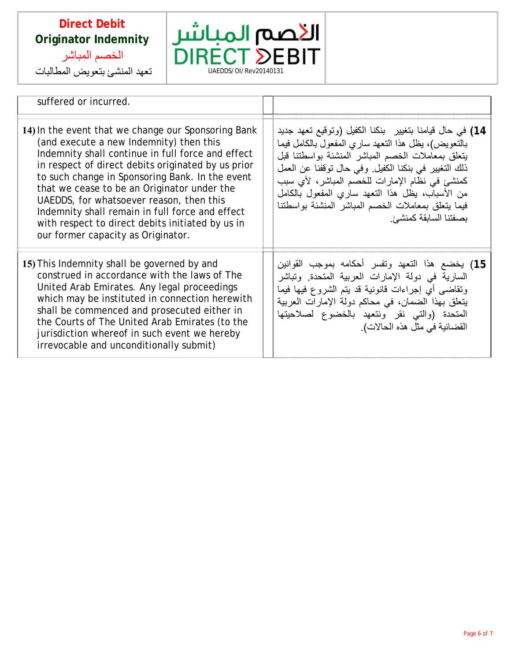



| suffered or incurred.                                                                                                                                                                                                                                                                                                                                                                                                                                                                                |                                                                                                                                                                                                                                                                                                                                                                                                                  |
|------------------------------------------------------------------------------------------------------------------------------------------------------------------------------------------------------------------------------------------------------------------------------------------------------------------------------------------------------------------------------------------------------------------------------------------------------------------------------------------------------|------------------------------------------------------------------------------------------------------------------------------------------------------------------------------------------------------------------------------------------------------------------------------------------------------------------------------------------------------------------------------------------------------------------|
| 14) In the event that we change our Sponsoring Bank<br>(and execute a new Indemnity) then this<br>Indemnity shall continue in full force and effect<br>in respect of direct debits originated by us prior<br>to such change in Sponsoring Bank. In the event<br>that we cease to be an Originator under the<br>UAEDDS, for whatsoever reason, then this<br>Indemnity shall remain in full force and effect<br>with respect to direct debits initiated by us in<br>our former capacity as Originator. | 14) في حال قيامنا بتغيير   بنكنا الكفيل (وتوقيع تعهد جديد<br>بالتعويض)، يظل هذا التعهد ساري المفعول بالكامل فيما<br>يتعلق بمعاملات الخصم المباشر المنشئة بواسطتنا قبل<br>ذلك التغيير في بنكنا الكفيل. وفي حال توقفنا عن العمل<br>كمنشئ في نظام الإمارات للخصم المباشر، لأي سبب<br>من الأسباب، يظل هذا التعهد ساري المفعول بالكامل<br>فيما يتعلق بمعاملات الخصم المباشر المنشئة بواسطتنا<br>بصفتنا السابقة كمنشئ. |
| 15) This Indemnity shall be governed by and<br>construed in accordance with the laws of The<br>United Arab Emirates. Any legal proceedings<br>which may be instituted in connection herewith<br>shall be commenced and prosecuted either in<br>the Courts of The United Arab Emirates (to the<br>jurisdiction whereof in such event we hereby<br>irrevocable and unconditionally submit)                                                                                                             | 15) يخضع هذا التعهد وتفسر أحكامه بموجب القوانين<br>السارية في دولة الإمارات العربية المتحدة. وتباشر<br>وتقاضي أيِّ إجراءات قانونية قد يتم الشروع فيها فيما<br>يتعلَّق بهذا الضمان، في محاكم دولة الإمارات العربية<br>المتحدة (والتى نقر ونتعهد بالخضوع لصلاحيتها<br>القضائية في مثل هذه الحالات).                                                                                                                |